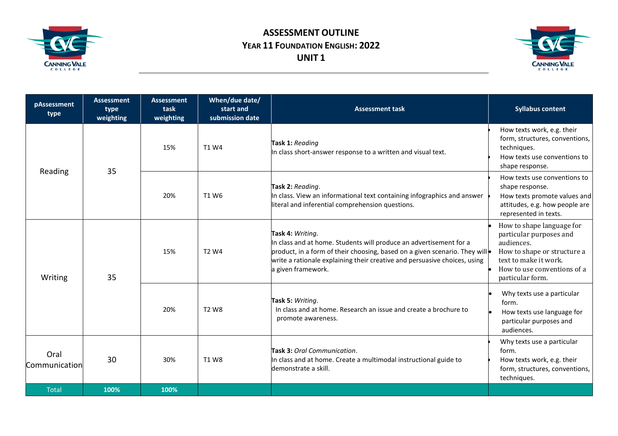

## **ASSESSMENT OUTLINE YEAR 11 FOUNDATION ENGLISH: 2022 UNIT 1**



| pAssessment<br>type   | <b>Assessment</b><br>type<br>weighting | <b>Assessment</b><br>task<br>weighting | When/due date/<br>start and<br>submission date | <b>Assessment task</b>                                                                                                                                                                                                                                                  | <b>Syllabus content</b>                                                                                                                                                       |
|-----------------------|----------------------------------------|----------------------------------------|------------------------------------------------|-------------------------------------------------------------------------------------------------------------------------------------------------------------------------------------------------------------------------------------------------------------------------|-------------------------------------------------------------------------------------------------------------------------------------------------------------------------------|
| Reading               | 35                                     | 15%                                    | T1 W4                                          | Task 1: Reading<br>In class short-answer response to a written and visual text.                                                                                                                                                                                         | How texts work, e.g. their<br>form, structures, conventions,<br>techniques.<br>How texts use conventions to<br>shape response.                                                |
|                       |                                        | 20%                                    | T1 W6                                          | Task 2: Reading.<br>In class. View an informational text containing infographics and answer<br>literal and inferential comprehension questions.                                                                                                                         | How texts use conventions to<br>shape response.<br>How texts promote values and<br>attitudes, e.g. how people are<br>represented in texts.                                    |
| Writing               | 35                                     | 15%                                    | T <sub>2</sub> W <sub>4</sub>                  | Task 4: Writing.<br>In class and at home. Students will produce an advertisement for a<br>product, in a form of their choosing, based on a given scenario. They will<br>write a rationale explaining their creative and persuasive choices, using<br>a given framework. | How to shape language for<br>particular purposes and<br>audiences.<br>How to shape or structure a<br>text to make it work.<br>How to use conventions of a<br>particular form. |
|                       |                                        | 20%                                    | <b>T2 W8</b>                                   | Task 5: Writing.<br>In class and at home. Research an issue and create a brochure to<br>promote awareness.                                                                                                                                                              | Why texts use a particular<br>form.<br>How texts use language for<br>particular purposes and<br>audiences.                                                                    |
| Oral<br>Communication | 30                                     | 30%                                    | <b>T1 W8</b>                                   | Task 3: Oral Communication.<br>In class and at home. Create a multimodal instructional guide to<br>demonstrate a skill.                                                                                                                                                 | Why texts use a particular<br>form.<br>How texts work, e.g. their<br>form, structures, conventions,<br>techniques.                                                            |
| <b>Total</b>          | 100%                                   | 100%                                   |                                                |                                                                                                                                                                                                                                                                         |                                                                                                                                                                               |